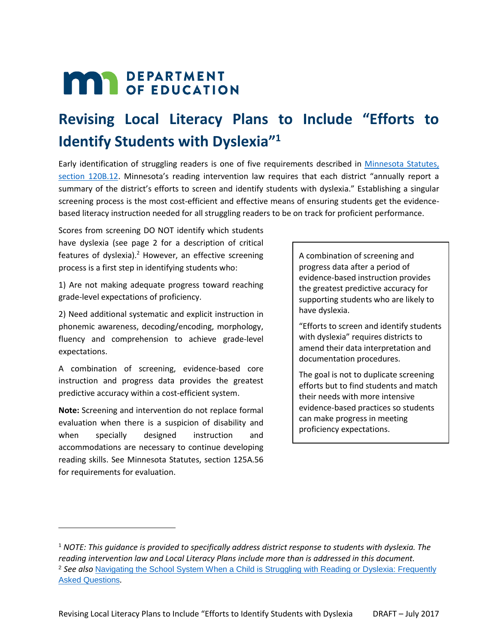# **MAR** DEPARTMENT

# **Revising Local Literacy Plans to Include "Efforts to Identify Students with Dyslexia" 1**

Early identification of struggling readers is one of five requirements described in [Minnesota Statutes,](http://education.state.mn.us/MDE/dse/prof/Minn.%20Stat.%20%C2%A7%20120B.12)  section [120B.12.](http://education.state.mn.us/MDE/dse/prof/Minn.%20Stat.%20%C2%A7%20120B.12) Minnesota's reading intervention law requires that each district "annually report a summary of the district's efforts to screen and identify students with dyslexia." Establishing a singular screening process is the most cost-efficient and effective means of ensuring students get the evidencebased literacy instruction needed for all struggling readers to be on track for proficient performance.

Scores from screening DO NOT identify which students have dyslexia (see page 2 for a description of critical features of dyslexia).<sup>2</sup> However, an effective screening process is a first step in identifying students who:

1) Are not making adequate progress toward reaching grade-level expectations of proficiency.

2) Need additional systematic and explicit instruction in phonemic awareness, decoding/encoding, morphology, fluency and comprehension to achieve grade-level expectations.

A combination of screening, evidence-based core instruction and progress data provides the greatest predictive accuracy within a cost-efficient system.

**Note:** Screening and intervention do not replace formal evaluation when there is a suspicion of disability and when specially designed instruction and accommodations are necessary to continue developing reading skills. See Minnesota Statutes, section 125A.56 for requirements for evaluation.

 $\overline{a}$ 

A combination of screening and progress data after a period of evidence-based instruction provides the greatest predictive accuracy for supporting students who are likely to have dyslexia.

"Efforts to screen and identify students with dyslexia" requires districts to amend their data interpretation and documentation procedures.

The goal is not to duplicate screening efforts but to find students and match their needs with more intensive evidence-based practices so students can make progress in meeting proficiency expectations.

<sup>1</sup> *NOTE: This guidance is provided to specifically address district response to students with dyslexia. The reading intervention law and Local Literacy Plans include more than is addressed in this document.* <sup>2</sup> *See also* [Navigating the School System When a Child is Struggling with Reading or Dyslexia: Frequently](http://education.state.mn.us/MDE/dse/prof/)  [Asked Questions](http://education.state.mn.us/MDE/dse/prof/)*.*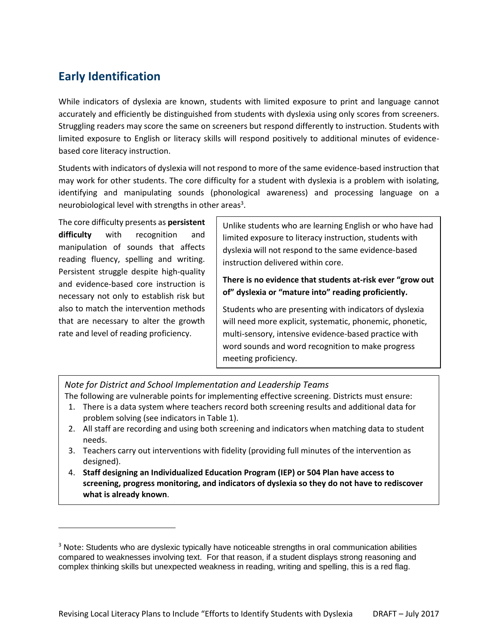### **Early Identification**

While indicators of dyslexia are known, students with limited exposure to print and language cannot accurately and efficiently be distinguished from students with dyslexia using only scores from screeners. Struggling readers may score the same on screeners but respond differently to instruction. Students with limited exposure to English or literacy skills will respond positively to additional minutes of evidencebased core literacy instruction.

Students with indicators of dyslexia will not respond to more of the same evidence-based instruction that may work for other students. The core difficulty for a student with dyslexia is a problem with isolating, identifying and manipulating sounds (phonological awareness) and processing language on a neurobiological level with strengths in other areas<sup>3</sup>.

The core difficulty presents as **persistent difficulty** with recognition and manipulation of sounds that affects reading fluency, spelling and writing. Persistent struggle despite high-quality and evidence-based core instruction is necessary not only to establish risk but also to match the intervention methods that are necessary to alter the growth rate and level of reading proficiency.

 $\overline{\phantom{a}}$ 

Unlike students who are learning English or who have had limited exposure to literacy instruction, students with dyslexia will not respond to the same evidence-based instruction delivered within core.

#### **There is no evidence that students at-risk ever "grow out of" dyslexia or "mature into" reading proficiently.**

Students who are presenting with indicators of dyslexia will need more explicit, systematic, phonemic, phonetic, multi-sensory, intensive evidence-based practice with word sounds and word recognition to make progress meeting proficiency.

*Note for District and School Implementation and Leadership Teams*

The following are vulnerable points for implementing effective screening. Districts must ensure:

- 1. There is a data system where teachers record both screening results and additional data for problem solving (see indicators in Table 1).
- 2. All staff are recording and using both screening and indicators when matching data to student needs.
- 3. Teachers carry out interventions with fidelity (providing full minutes of the intervention as designed).
- 4. **Staff designing an Individualized Education Program (IEP) or 504 Plan have access to screening, progress monitoring, and indicators of dyslexia so they do not have to rediscover what is already known**.

<sup>&</sup>lt;sup>3</sup> Note: Students who are dyslexic typically have noticeable strengths in oral communication abilities compared to weaknesses involving text. For that reason, if a student displays strong reasoning and complex thinking skills but unexpected weakness in reading, writing and spelling, this is a red flag.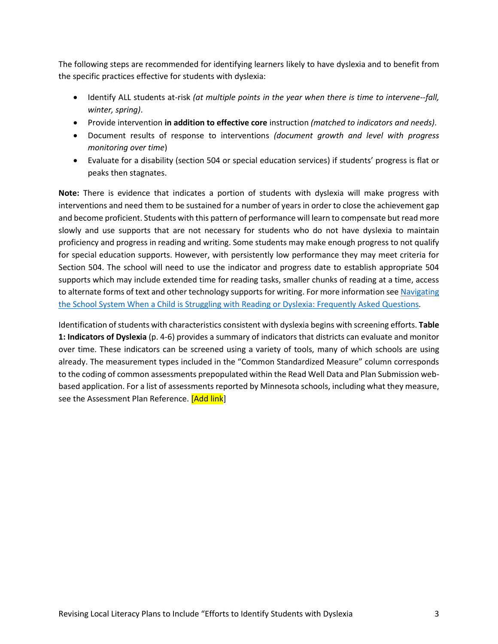The following steps are recommended for identifying learners likely to have dyslexia and to benefit from the specific practices effective for students with dyslexia:

- **•** Identify ALL students at-risk *(at multiple points in the year when there is time to intervene--fall, winter, spring)*.
- Provide intervention **in addition to effective core** instruction *(matched to indicators and needs)*.
- Document results of response to interventions *(document growth and level with progress monitoring over time*)
- Evaluate for a disability (section 504 or special education services) if students' progress is flat or peaks then stagnates.

**Note:** There is evidence that indicates a portion of students with dyslexia will make progress with interventions and need them to be sustained for a number of years in order to close the achievement gap and become proficient. Students with this pattern of performance will learn to compensate but read more slowly and use supports that are not necessary for students who do not have dyslexia to maintain proficiency and progress in reading and writing. Some students may make enough progress to not qualify for special education supports. However, with persistently low performance they may meet criteria for Section 504. The school will need to use the indicator and progress date to establish appropriate 504 supports which may include extended time for reading tasks, smaller chunks of reading at a time, access to alternate forms of text and other technology supports for writing. For more information se[e Navigating](http://education.state.mn.us/MDE/dse/prof/)  [the School System When a Child is Struggling with Reading or Dyslexia: Frequently Asked Questions](http://education.state.mn.us/MDE/dse/prof/)*.*

Identification of students with characteristics consistent with dyslexia begins with screening efforts. **Table 1: Indicators of Dyslexia** (p. 4-6) provides a summary of indicators that districts can evaluate and monitor over time. These indicators can be screened using a variety of tools, many of which schools are using already. The measurement types included in the "Common Standardized Measure" column corresponds to the coding of common assessments prepopulated within the Read Well Data and Plan Submission webbased application. For a list of assessments reported by Minnesota schools, including what they measure, see the Assessment Plan Reference. [Add link]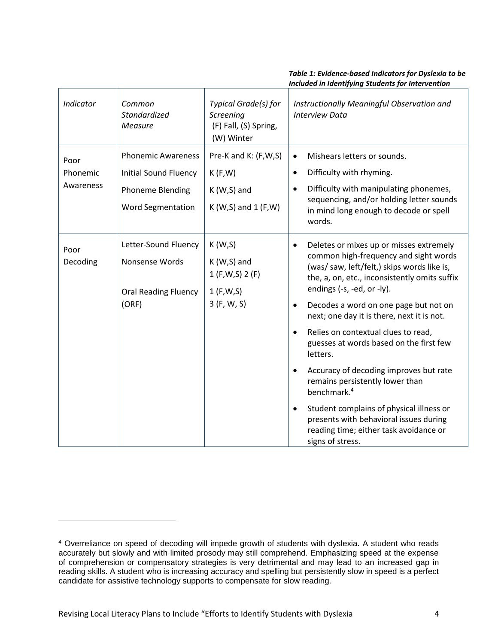#### *Blank Header Blank Header Blank Header Table 1: Evidence-based Indicators for Dyslexia to be Included in Identifying Students for Intervention*

| <b>Indicator</b>              | Common<br><b>Standardized</b><br><b>Measure</b>                                                                  | Typical Grade(s) for<br>Screening<br>(F) Fall, (S) Spring,<br>(W) Winter | Instructionally Meaningful Observation and<br><b>Interview Data</b>                                                                                                                                                                                                                                                                                                                                                                                                                                                                                                                                                                                                                                                |
|-------------------------------|------------------------------------------------------------------------------------------------------------------|--------------------------------------------------------------------------|--------------------------------------------------------------------------------------------------------------------------------------------------------------------------------------------------------------------------------------------------------------------------------------------------------------------------------------------------------------------------------------------------------------------------------------------------------------------------------------------------------------------------------------------------------------------------------------------------------------------------------------------------------------------------------------------------------------------|
| Poor<br>Phonemic<br>Awareness | <b>Phonemic Awareness</b><br><b>Initial Sound Fluency</b><br><b>Phoneme Blending</b><br><b>Word Segmentation</b> | Pre-K and K: (F,W,S)<br>K(F,W)<br>$K(W,S)$ and<br>$K(W,S)$ and 1 (F, W)  | Mishears letters or sounds.<br>$\bullet$<br>Difficulty with rhyming.<br>$\bullet$<br>Difficulty with manipulating phonemes,<br>sequencing, and/or holding letter sounds<br>in mind long enough to decode or spell<br>words.                                                                                                                                                                                                                                                                                                                                                                                                                                                                                        |
| Poor<br>Decoding              | Letter-Sound Fluency<br>Nonsense Words<br><b>Oral Reading Fluency</b><br>(ORF)                                   | K(W,S)<br>$K(W,S)$ and<br>1 (F,W,S) 2 (F)<br>1 (F,W,S)<br>3 (F, W, S)    | Deletes or mixes up or misses extremely<br>$\bullet$<br>common high-frequency and sight words<br>(was/saw, left/felt,) skips words like is,<br>the, a, on, etc., inconsistently omits suffix<br>endings (-s, -ed, or -ly).<br>Decodes a word on one page but not on<br>$\bullet$<br>next; one day it is there, next it is not.<br>Relies on contextual clues to read,<br>$\bullet$<br>guesses at words based on the first few<br>letters.<br>Accuracy of decoding improves but rate<br>remains persistently lower than<br>benchmark. <sup>4</sup><br>Student complains of physical illness or<br>$\bullet$<br>presents with behavioral issues during<br>reading time; either task avoidance or<br>signs of stress. |

l

<sup>4</sup> Overreliance on speed of decoding will impede growth of students with dyslexia. A student who reads accurately but slowly and with limited prosody may still comprehend. Emphasizing speed at the expense of comprehension or compensatory strategies is very detrimental and may lead to an increased gap in reading skills. A student who is increasing accuracy and spelling but persistently slow in speed is a perfect candidate for assistive technology supports to compensate for slow reading.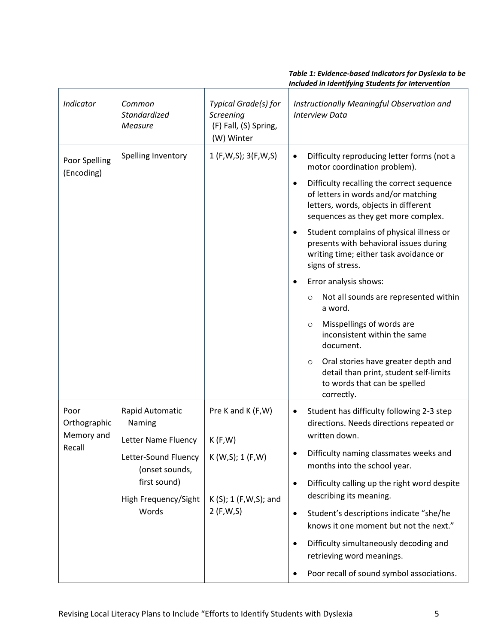#### *Blank Header Blank Header Blank Header Table 1: Evidence-based Indicators for Dyslexia to be Included in Identifying Students for Intervention*

| Indicator                                    | Common<br>Standardized<br><b>Measure</b>                                                | Typical Grade(s) for<br>Screening<br>(F) Fall, (S) Spring,<br>(W) Winter               | Instructionally Meaningful Observation and<br><b>Interview Data</b>                                                                                                          |
|----------------------------------------------|-----------------------------------------------------------------------------------------|----------------------------------------------------------------------------------------|------------------------------------------------------------------------------------------------------------------------------------------------------------------------------|
| Poor Spelling<br>(Encoding)                  | Spelling Inventory                                                                      | 1 (F,W,S); 3(F,W,S)                                                                    | Difficulty reproducing letter forms (not a<br>$\bullet$<br>motor coordination problem).                                                                                      |
|                                              |                                                                                         |                                                                                        | Difficulty recalling the correct sequence<br>$\bullet$<br>of letters in words and/or matching<br>letters, words, objects in different<br>sequences as they get more complex. |
|                                              |                                                                                         |                                                                                        | Student complains of physical illness or<br>$\bullet$<br>presents with behavioral issues during<br>writing time; either task avoidance or<br>signs of stress.                |
|                                              |                                                                                         |                                                                                        | Error analysis shows:                                                                                                                                                        |
|                                              |                                                                                         |                                                                                        | Not all sounds are represented within<br>$\circ$<br>a word.                                                                                                                  |
|                                              |                                                                                         |                                                                                        | Misspellings of words are<br>$\circ$<br>inconsistent within the same<br>document.                                                                                            |
|                                              |                                                                                         |                                                                                        | Oral stories have greater depth and<br>$\circ$<br>detail than print, student self-limits<br>to words that can be spelled<br>correctly.                                       |
| Poor<br>Orthographic<br>Memory and<br>Recall | Rapid Automatic<br>Naming                                                               | Pre K and K (F, W)<br>K(F,W)<br>K (W,S); 1 (F,W)<br>$K(S); 1 (F,W,S);$ and<br>2(F,W,S) | Student has difficulty following 2-3 step<br>$\bullet$<br>directions. Needs directions repeated or                                                                           |
|                                              | Letter Name Fluency                                                                     |                                                                                        | written down.                                                                                                                                                                |
|                                              | Letter-Sound Fluency<br>(onset sounds,<br>first sound)<br>High Frequency/Sight<br>Words |                                                                                        | Difficulty naming classmates weeks and<br>months into the school year.                                                                                                       |
|                                              |                                                                                         |                                                                                        | Difficulty calling up the right word despite<br>$\bullet$<br>describing its meaning.                                                                                         |
|                                              |                                                                                         |                                                                                        | Student's descriptions indicate "she/he<br>$\bullet$<br>knows it one moment but not the next."                                                                               |
|                                              |                                                                                         |                                                                                        | Difficulty simultaneously decoding and<br>$\bullet$<br>retrieving word meanings.                                                                                             |
|                                              |                                                                                         |                                                                                        | Poor recall of sound symbol associations.<br>$\bullet$                                                                                                                       |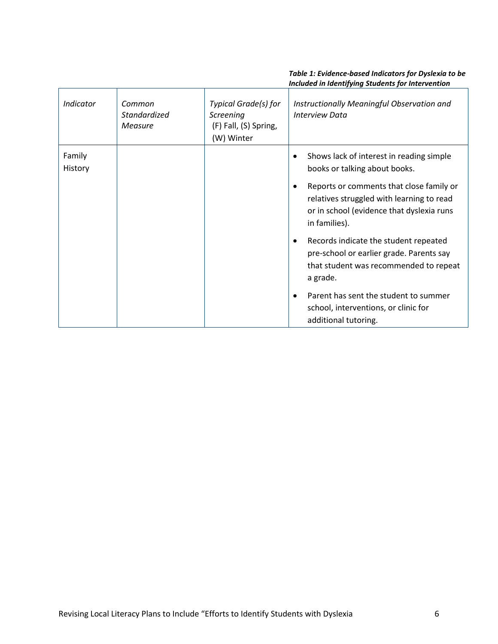#### *Blank Header Blank Header Blank Header Table 1: Evidence-based Indicators for Dyslexia to be Included in Identifying Students for Intervention*

| Indicator         | Common<br><b>Standardized</b><br>Measure | Typical Grade(s) for<br>Screening<br>(F) Fall, (S) Spring,<br>(W) Winter | Instructionally Meaningful Observation and<br><b>Interview Data</b>                                                                                      |
|-------------------|------------------------------------------|--------------------------------------------------------------------------|----------------------------------------------------------------------------------------------------------------------------------------------------------|
| Family<br>History |                                          |                                                                          | Shows lack of interest in reading simple<br>books or talking about books.                                                                                |
|                   |                                          |                                                                          | Reports or comments that close family or<br>٠<br>relatives struggled with learning to read<br>or in school (evidence that dyslexia runs<br>in families). |
|                   |                                          |                                                                          | Records indicate the student repeated<br>٠<br>pre-school or earlier grade. Parents say<br>that student was recommended to repeat<br>a grade.             |
|                   |                                          |                                                                          | Parent has sent the student to summer<br>$\bullet$<br>school, interventions, or clinic for<br>additional tutoring.                                       |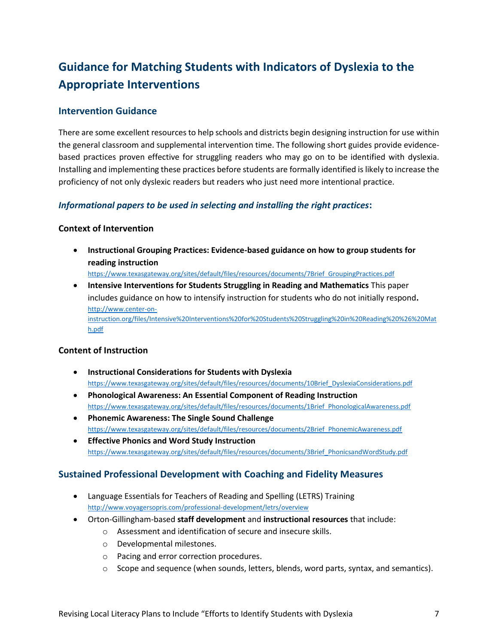## **Guidance for Matching Students with Indicators of Dyslexia to the Appropriate Interventions**

#### **Intervention Guidance**

There are some excellent resources to help schools and districts begin designing instruction for use within the general classroom and supplemental intervention time. The following short guides provide evidencebased practices proven effective for struggling readers who may go on to be identified with dyslexia. Installing and implementing these practices before students are formally identified is likely to increase the proficiency of not only dyslexic readers but readers who just need more intentional practice.

#### *Informational papers to be used in selecting and installing the right practices***:**

#### **Context of Intervention**

 **Instructional Grouping Practices: Evidence-based guidance on how to group students for reading instruction**

[https://www.texasgateway.org/sites/default/files/resources/documents/7Brief\\_GroupingPractices.pdf](https://www.texasgateway.org/sites/default/files/resources/documents/7Brief_GroupingPractices.pdf)

 **Intensive Interventions for Students Struggling in Reading and Mathematics** This paper includes guidance on how to intensify instruction for students who do not initially respond**.** [http://www.center-on](http://www.center-on-instruction.org/files/Intensive%20Interventions%20for%20Students%20Struggling%20in%20Reading%20%26%20Math.pdf)[instruction.org/files/Intensive%20Interventions%20for%20Students%20Struggling%20in%20Reading%20%26%20Mat](http://www.center-on-instruction.org/files/Intensive%20Interventions%20for%20Students%20Struggling%20in%20Reading%20%26%20Math.pdf) [h.pdf](http://www.center-on-instruction.org/files/Intensive%20Interventions%20for%20Students%20Struggling%20in%20Reading%20%26%20Math.pdf)

#### **Content of Instruction**

- **Instructional Considerations for Students with Dyslexia** [https://www.texasgateway.org/sites/default/files/resources/documents/10Brief\\_DyslexiaConsiderations.pdf](https://www.texasgateway.org/sites/default/files/resources/documents/10Brief_DyslexiaConsiderations.pdf)
- **Phonological Awareness: An Essential Component of Reading Instruction** [https://www.texasgateway.org/sites/default/files/resources/documents/1Brief\\_PhonologicalAwareness.pdf](https://www.texasgateway.org/sites/default/files/resources/documents/1Brief_PhonologicalAwareness.pdf)
- **Phonemic Awareness: The Single Sound Challenge**  [https://www.texasgateway.org/sites/default/files/resources/documents/2Brief\\_PhonemicAwareness.pdf](https://www.texasgateway.org/sites/default/files/resources/documents/2Brief_PhonemicAwareness.pdf)
- **Effective Phonics and Word Study Instruction**  [https://www.texasgateway.org/sites/default/files/resources/documents/3Brief\\_PhonicsandWordStudy.pdf](https://www.texasgateway.org/sites/default/files/resources/documents/3Brief_PhonicsandWordStudy.pdf)

#### **Sustained Professional Development with Coaching and Fidelity Measures**

- Language Essentials for Teachers of Reading and Spelling (LETRS) Training <http://www.voyagersopris.com/professional-development/letrs/overview>
- Orton-Gillingham-based **staff development** and **instructional resources** that include:
	- o Assessment and identification of secure and insecure skills.
	- o Developmental milestones.
	- o Pacing and error correction procedures.
	- $\circ$  Scope and sequence (when sounds, letters, blends, word parts, syntax, and semantics).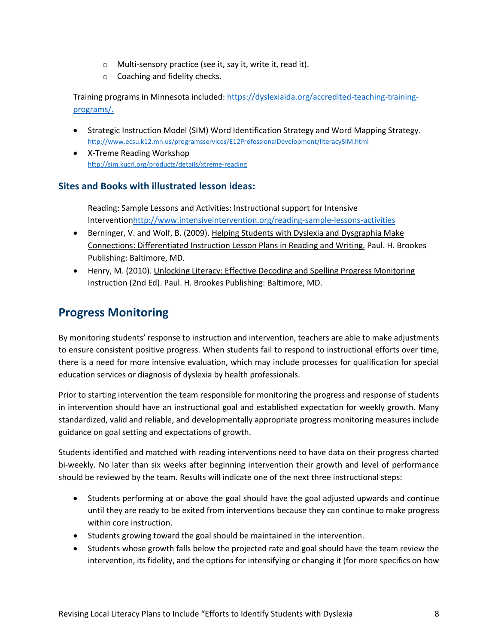- o Multi-sensory practice (see it, say it, write it, read it).
- o Coaching and fidelity checks.

Training programs in Minnesota included: [https://dyslexiaida.org/accredited-teaching-training](https://dyslexiaida.org/accredited-teaching-training-programs/)[programs/.](https://dyslexiaida.org/accredited-teaching-training-programs/)

- Strategic Instruction Model (SIM) Word Identification Strategy and Word Mapping Strategy. <http://www.ecsu.k12.mn.us/programsservices/E12ProfessionalDevelopment/literacySIM.html>
- X-Treme Reading Workshop <http://sim.kucrl.org/products/details/xtreme-reading>

#### **Sites and Books with illustrated lesson ideas:**

Reading: Sample Lessons and Activities: Instructional support for Intensive Interventio[nhttp://www.intensiveintervention.org/reading-sample-lessons-activities](http://www.intensiveintervention.org/reading-sample-lessons-activities)

- Berninger, V. and Wolf, B. (2009). Helping Students with Dyslexia and Dysgraphia Make Connections: Differentiated Instruction Lesson Plans in Reading and Writing. Paul. H. Brookes Publishing: Baltimore, MD.
- Henry, M. (2010). Unlocking Literacy: Effective Decoding and Spelling Progress Monitoring Instruction (2nd Ed). Paul. H. Brookes Publishing: Baltimore, MD.

### **Progress Monitoring**

By monitoring students' response to instruction and intervention, teachers are able to make adjustments to ensure consistent positive progress. When students fail to respond to instructional efforts over time, there is a need for more intensive evaluation, which may include processes for qualification for special education services or diagnosis of dyslexia by health professionals.

Prior to starting intervention the team responsible for monitoring the progress and response of students in intervention should have an instructional goal and established expectation for weekly growth. Many standardized, valid and reliable, and developmentally appropriate progress monitoring measures include guidance on goal setting and expectations of growth.

Students identified and matched with reading interventions need to have data on their progress charted bi-weekly. No later than six weeks after beginning intervention their growth and level of performance should be reviewed by the team. Results will indicate one of the next three instructional steps:

- Students performing at or above the goal should have the goal adjusted upwards and continue until they are ready to be exited from interventions because they can continue to make progress within core instruction.
- Students growing toward the goal should be maintained in the intervention.
- Students whose growth falls below the projected rate and goal should have the team review the intervention, its fidelity, and the options for intensifying or changing it (for more specifics on how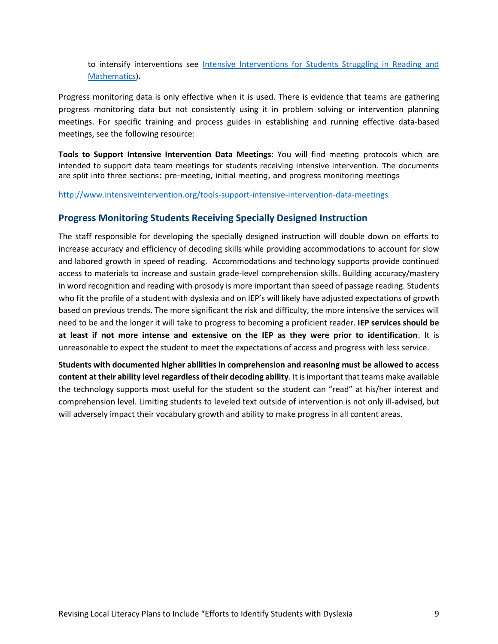to intensify interventions see [Intensive Interventions for Students Struggling in Reading and](http://www.center-on-instruction.org/files/Intensive%20Interventions%20for%20Students%20Struggling%20in%20Reading%20%26%20Math.pdf)  [Mathematics\)](http://www.center-on-instruction.org/files/Intensive%20Interventions%20for%20Students%20Struggling%20in%20Reading%20%26%20Math.pdf).

Progress monitoring data is only effective when it is used. There is evidence that teams are gathering progress monitoring data but not consistently using it in problem solving or intervention planning meetings. For specific training and process guides in establishing and running effective data-based meetings, see the following resource:

**Tools to Support Intensive Intervention Data Meetings**: You will find meeting protocols which are intended to support data team meetings for students receiving intensive intervention. The documents are split into three sections: pre-meeting, initial meeting, and progress monitoring meetings

<http://www.intensiveintervention.org/tools-support-intensive-intervention-data-meetings>

#### **Progress Monitoring Students Receiving Specially Designed Instruction**

The staff responsible for developing the specially designed instruction will double down on efforts to increase accuracy and efficiency of decoding skills while providing accommodations to account for slow and labored growth in speed of reading. Accommodations and technology supports provide continued access to materials to increase and sustain grade-level comprehension skills. Building accuracy/mastery in word recognition and reading with prosody is more important than speed of passage reading. Students who fit the profile of a student with dyslexia and on IEP's will likely have adjusted expectations of growth based on previous trends. The more significant the risk and difficulty, the more intensive the services will need to be and the longer it will take to progress to becoming a proficient reader. **IEP services should be at least if not more intense and extensive on the IEP as they were prior to identification**. It is unreasonable to expect the student to meet the expectations of access and progress with less service.

**Students with documented higher abilities in comprehension and reasoning must be allowed to access content at their ability level regardless of their decoding ability**. It is important that teams make available the technology supports most useful for the student so the student can "read" at his/her interest and comprehension level. Limiting students to leveled text outside of intervention is not only ill-advised, but will adversely impact their vocabulary growth and ability to make progress in all content areas.